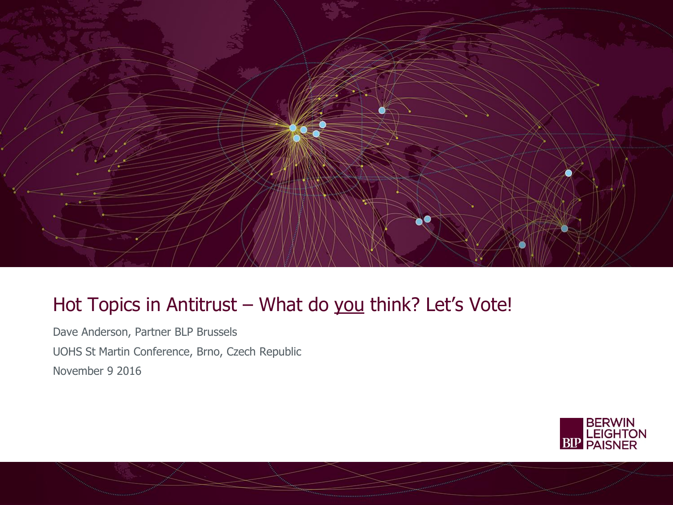

### Hot Topics in Antitrust – What do you think? Let's Vote!

Dave Anderson, Partner BLP Brussels UOHS St Martin Conference, Brno, Czech Republic November 9 2016

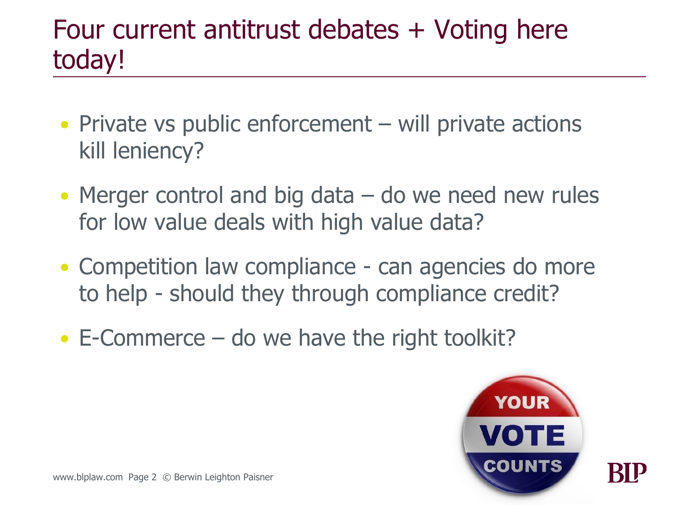### Four current antitrust debates + Voting here today!

- Private vs public enforcement will private actions kill leniency?
- Merger control and big data do we need new rules for low value deals with high value data?
- Competition law compliance can agencies do more to help - should they through compliance credit?
- E-Commerce do we have the right toolkit?

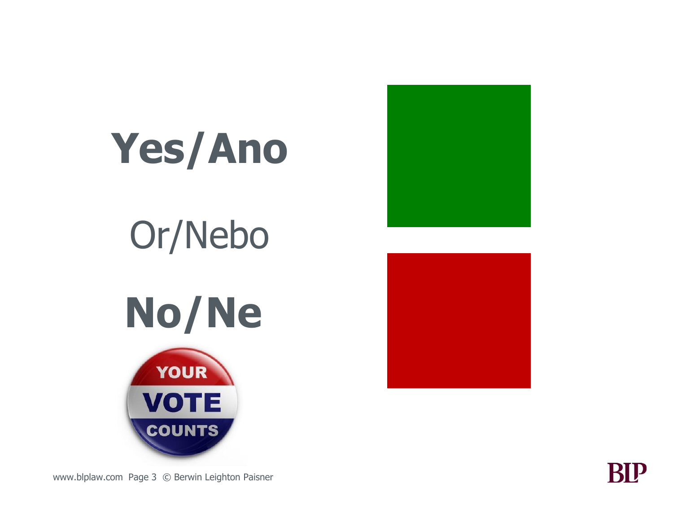





BIP

www.blplaw.com Page 3 © Berwin Leighton Paisner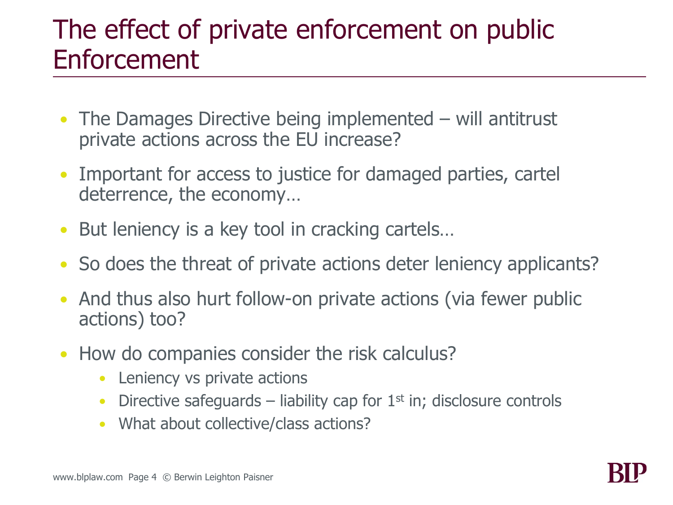### The effect of private enforcement on public **Enforcement**

- The Damages Directive being implemented will antitrust private actions across the EU increase?
- Important for access to justice for damaged parties, cartel deterrence, the economy…
- But leniency is a key tool in cracking cartels...
- So does the threat of private actions deter leniency applicants?
- And thus also hurt follow-on private actions (via fewer public actions) too?
- How do companies consider the risk calculus?
	- Leniency vs private actions
	- Directive safeguards liability cap for  $1<sup>st</sup>$  in; disclosure controls
	- What about collective/class actions?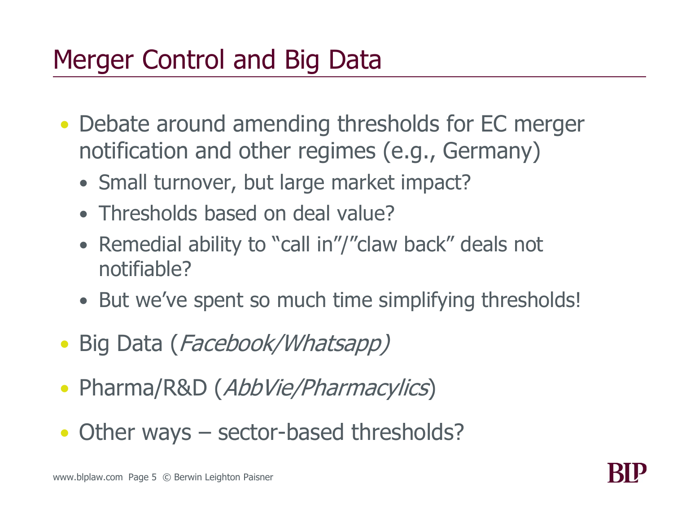## Merger Control and Big Data

- Debate around amending thresholds for EC merger notification and other regimes (e.g., Germany)
	- Small turnover, but large market impact?
	- Thresholds based on deal value?
	- Remedial ability to "call in"/"claw back" deals not notifiable?
	- But we've spent so much time simplifying thresholds!
- Big Data (Facebook/Whatsapp)
- Pharma/R&D (AbbVie/Pharmacylics)
- Other ways sector-based thresholds?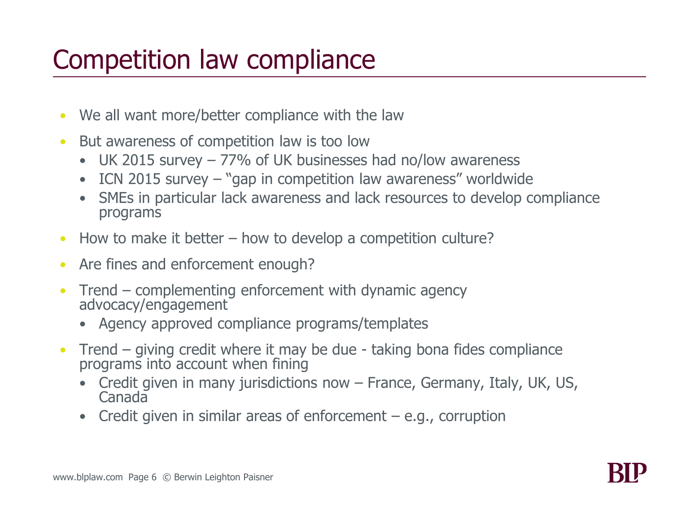## Competition law compliance

- We all want more/better compliance with the law
- But awareness of competition law is too low
	- UK 2015 survey 77% of UK businesses had no/low awareness
	- ICN 2015 survey "gap in competition law awareness" worldwide
	- SMEs in particular lack awareness and lack resources to develop compliance programs
- How to make it better  $-$  how to develop a competition culture?
- Are fines and enforcement enough?
- Trend complementing enforcement with dynamic agency advocacy/engagement
	- Agency approved compliance programs/templates
- Trend giving credit where it may be due taking bona fides compliance programs into account when fining
	- Credit given in many jurisdictions now France, Germany, Italy, UK, US, **Canada**
	- Credit given in similar areas of enforcement  $-$  e.g., corruption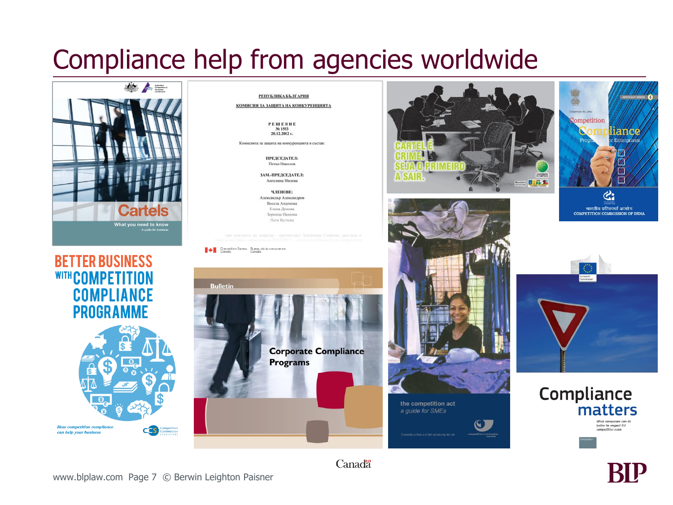# Compliance help from agencies worldwide



### РЕПУБЛИКА БЪЛГАРИЯ

### **КОМИСИЯ ЗА ЗАЩИТА НА КОНКУРЕНЦИЯТА**

РЕШЕНИЕ No 1553 20.12.2012 г.

Комисията за защита на конкуренцията в състав:

ПРЕДСЕДАТЕЛ: Петко Николов

ЗАМ.-ПРЕДСЕДАТЕЛ: Ангелина Милева

ЧЛЕНОВЕ: Александър Александров Весела Андонова Елена Димова Зорница Иванова Hers Beavena

Competition Bureau Bureau de la concurrence<br>Canada Canada



Canadä











www.blplaw.com Page 7 © Berwin Leighton Paisner

 $C(S)$ Competition<br>Commission<br>. . . . . . . . .



**How competition compliance** 

can help your business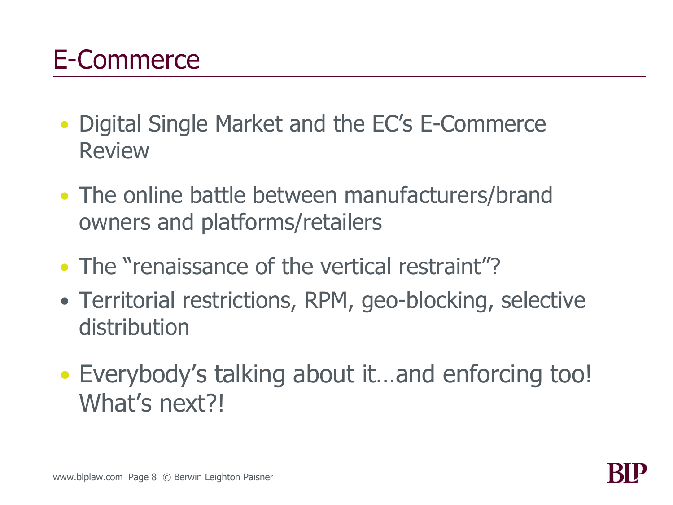# E-Commerce

- Digital Single Market and the EC's E-Commerce Review
- The online battle between manufacturers/brand owners and platforms/retailers
- The "renaissance of the vertical restraint"?
- Territorial restrictions, RPM, geo-blocking, selective distribution
- Everybody's talking about it...and enforcing too! What's next?!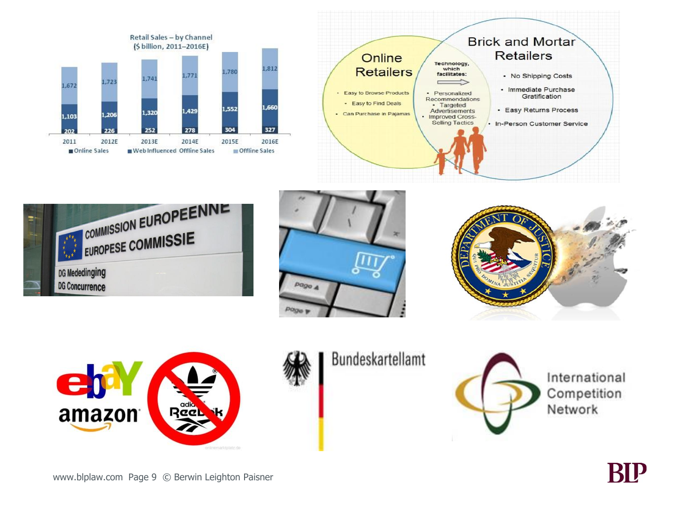













Bundeskartellamt

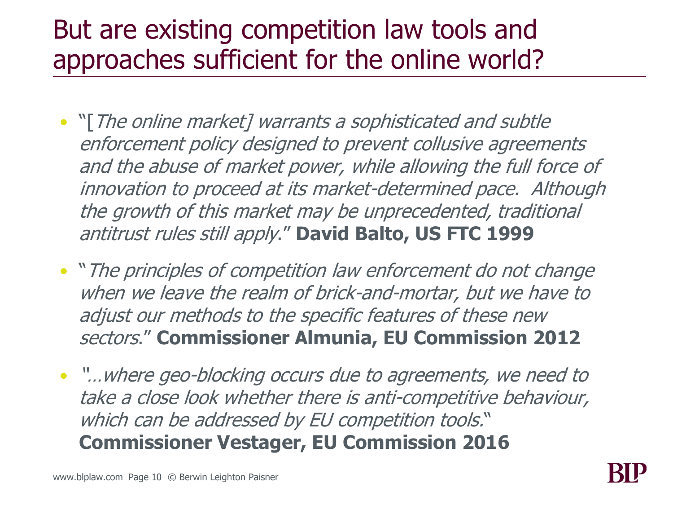### But are existing competition law tools and approaches sufficient for the online world?

- "[The online market] warrants a sophisticated and subtle enforcement policy designed to prevent collusive agreements and the abuse of market power, while allowing the full force of innovation to proceed at its market-determined pace. Although the growth of this market may be unprecedented, traditional antitrust rules still apply." **David Balto, US FTC 1999**
- "The principles of competition law enforcement do not change when we leave the realm of brick-and-mortar, but we have to adjust our methods to the specific features of these new sectors." **Commissioner Almunia, EU Commission 2012**
- "…where geo-blocking occurs due to agreements, we need to take a close look whether there is anti-competitive behaviour, which can be addressed by EU competition tools." **Commissioner Vestager, EU Commission 2016**